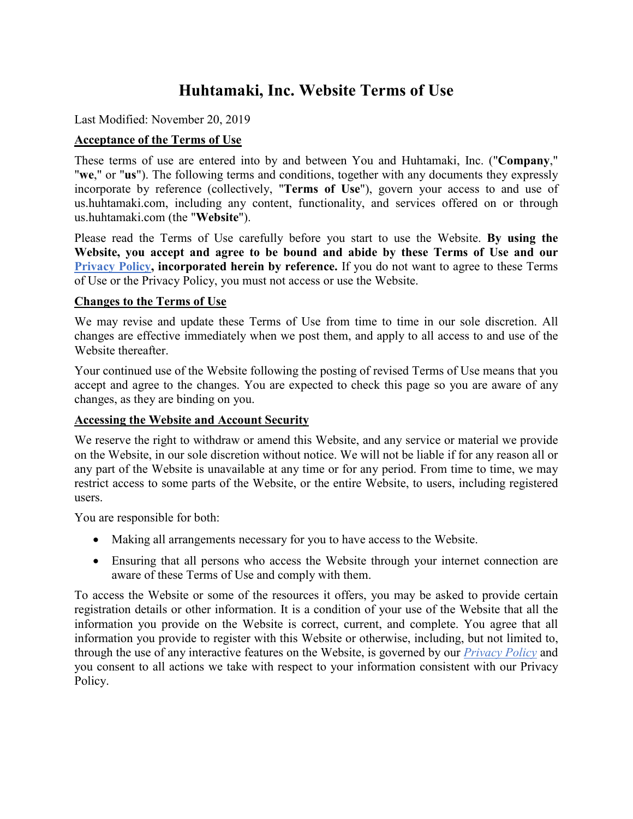# **Huhtamaki, Inc. Website Terms of Use**

Last Modified: November 20, 2019

# **Acceptance of the Terms of Use**

These terms of use are entered into by and between You and Huhtamaki, Inc. ("**Company**," "**we**," or "**us**"). The following terms and conditions, together with any documents they expressly incorporate by reference (collectively, "**Terms of Use**"), govern your access to and use of us.huhtamaki.com, including any content, functionality, and services offered on or through us.huhtamaki.com (the "**Website**").

Please read the Terms of Use carefully before you start to use the Website. **By using the Website, you accept and agree to be bound and abide by these Terms of Use and our [Privacy Policy,](https://www.huhtamaki.com/en-us/north-america/about-us/privacy-policy/) incorporated herein by reference.** If you do not want to agree to these Terms of Use or the Privacy Policy, you must not access or use the Website.

#### **Changes to the Terms of Use**

We may revise and update these Terms of Use from time to time in our sole discretion. All changes are effective immediately when we post them, and apply to all access to and use of the Website thereafter.

Your continued use of the Website following the posting of revised Terms of Use means that you accept and agree to the changes. You are expected to check this page so you are aware of any changes, as they are binding on you.

## **Accessing the Website and Account Security**

We reserve the right to withdraw or amend this Website, and any service or material we provide on the Website, in our sole discretion without notice. We will not be liable if for any reason all or any part of the Website is unavailable at any time or for any period. From time to time, we may restrict access to some parts of the Website, or the entire Website, to users, including registered users.

You are responsible for both:

- Making all arrangements necessary for you to have access to the Website.
- Ensuring that all persons who access the Website through your internet connection are aware of these Terms of Use and comply with them.

To access the Website or some of the resources it offers, you may be asked to provide certain registration details or other information. It is a condition of your use of the Website that all the information you provide on the Website is correct, current, and complete. You agree that all information you provide to register with this Website or otherwise, including, but not limited to, through the use of any interactive features on the Website, is governed by our *[Privacy Policy](https://www.huhtamaki.com/en-us/north-america/about-us/privacy-policy/)* and you consent to all actions we take with respect to your information consistent with our Privacy Policy.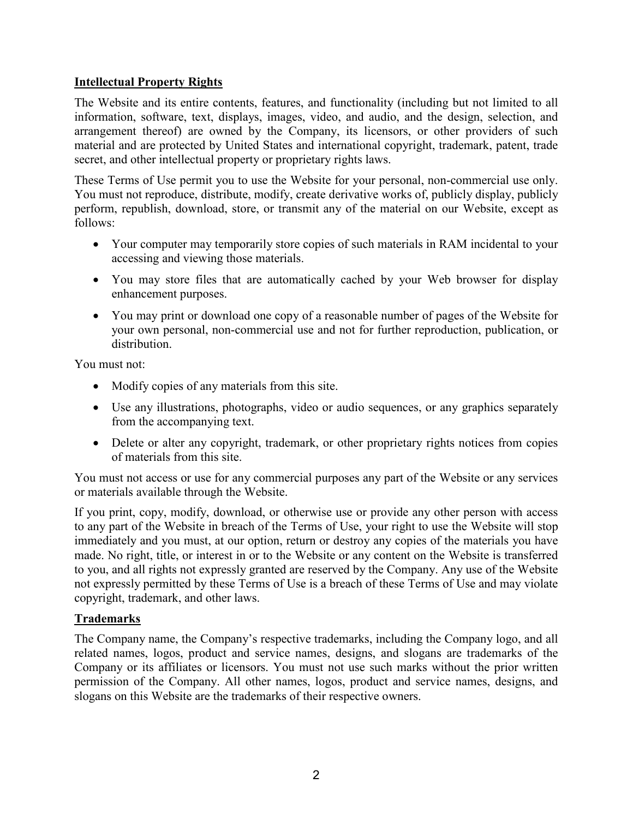## **Intellectual Property Rights**

The Website and its entire contents, features, and functionality (including but not limited to all information, software, text, displays, images, video, and audio, and the design, selection, and arrangement thereof) are owned by the Company, its licensors, or other providers of such material and are protected by United States and international copyright, trademark, patent, trade secret, and other intellectual property or proprietary rights laws.

These Terms of Use permit you to use the Website for your personal, non-commercial use only. You must not reproduce, distribute, modify, create derivative works of, publicly display, publicly perform, republish, download, store, or transmit any of the material on our Website, except as follows:

- Your computer may temporarily store copies of such materials in RAM incidental to your accessing and viewing those materials.
- You may store files that are automatically cached by your Web browser for display enhancement purposes.
- You may print or download one copy of a reasonable number of pages of the Website for your own personal, non-commercial use and not for further reproduction, publication, or distribution.

You must not:

- Modify copies of any materials from this site.
- Use any illustrations, photographs, video or audio sequences, or any graphics separately from the accompanying text.
- Delete or alter any copyright, trademark, or other proprietary rights notices from copies of materials from this site.

You must not access or use for any commercial purposes any part of the Website or any services or materials available through the Website.

If you print, copy, modify, download, or otherwise use or provide any other person with access to any part of the Website in breach of the Terms of Use, your right to use the Website will stop immediately and you must, at our option, return or destroy any copies of the materials you have made. No right, title, or interest in or to the Website or any content on the Website is transferred to you, and all rights not expressly granted are reserved by the Company. Any use of the Website not expressly permitted by these Terms of Use is a breach of these Terms of Use and may violate copyright, trademark, and other laws.

# **Trademarks**

The Company name, the Company's respective trademarks, including the Company logo, and all related names, logos, product and service names, designs, and slogans are trademarks of the Company or its affiliates or licensors. You must not use such marks without the prior written permission of the Company. All other names, logos, product and service names, designs, and slogans on this Website are the trademarks of their respective owners.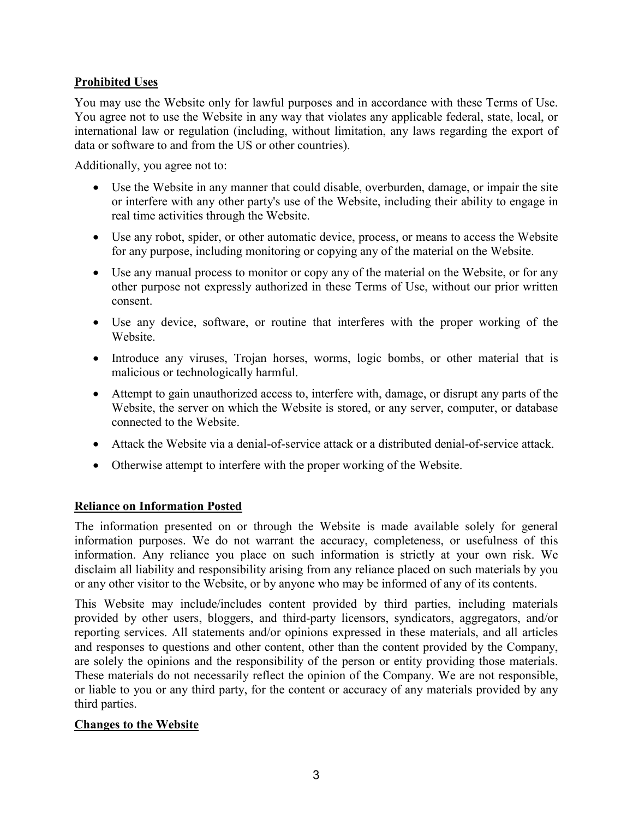# **Prohibited Uses**

You may use the Website only for lawful purposes and in accordance with these Terms of Use. You agree not to use the Website in any way that violates any applicable federal, state, local, or international law or regulation (including, without limitation, any laws regarding the export of data or software to and from the US or other countries).

Additionally, you agree not to:

- Use the Website in any manner that could disable, overburden, damage, or impair the site or interfere with any other party's use of the Website, including their ability to engage in real time activities through the Website.
- Use any robot, spider, or other automatic device, process, or means to access the Website for any purpose, including monitoring or copying any of the material on the Website.
- Use any manual process to monitor or copy any of the material on the Website, or for any other purpose not expressly authorized in these Terms of Use, without our prior written consent.
- Use any device, software, or routine that interferes with the proper working of the Website.
- Introduce any viruses, Trojan horses, worms, logic bombs, or other material that is malicious or technologically harmful.
- Attempt to gain unauthorized access to, interfere with, damage, or disrupt any parts of the Website, the server on which the Website is stored, or any server, computer, or database connected to the Website.
- Attack the Website via a denial-of-service attack or a distributed denial-of-service attack.
- Otherwise attempt to interfere with the proper working of the Website.

## **Reliance on Information Posted**

The information presented on or through the Website is made available solely for general information purposes. We do not warrant the accuracy, completeness, or usefulness of this information. Any reliance you place on such information is strictly at your own risk. We disclaim all liability and responsibility arising from any reliance placed on such materials by you or any other visitor to the Website, or by anyone who may be informed of any of its contents.

This Website may include/includes content provided by third parties, including materials provided by other users, bloggers, and third-party licensors, syndicators, aggregators, and/or reporting services. All statements and/or opinions expressed in these materials, and all articles and responses to questions and other content, other than the content provided by the Company, are solely the opinions and the responsibility of the person or entity providing those materials. These materials do not necessarily reflect the opinion of the Company. We are not responsible, or liable to you or any third party, for the content or accuracy of any materials provided by any third parties.

## **Changes to the Website**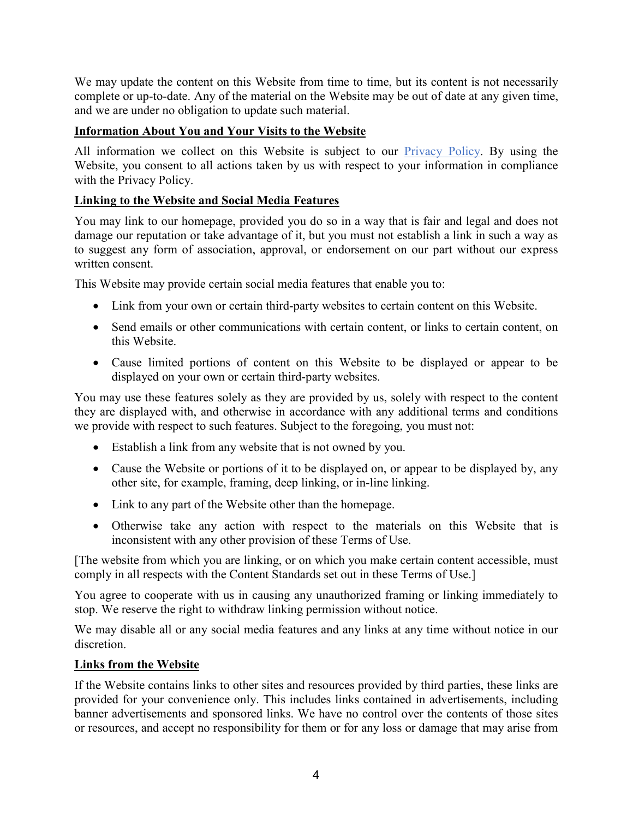We may update the content on this Website from time to time, but its content is not necessarily complete or up-to-date. Any of the material on the Website may be out of date at any given time, and we are under no obligation to update such material.

# **Information About You and Your Visits to the Website**

All information we collect on this Website is subject to our [Privacy Policy.](https://www.huhtamaki.com/en-us/north-america/about-us/privacy-policy/) By using the Website, you consent to all actions taken by us with respect to your information in compliance with the Privacy Policy.

# **Linking to the Website and Social Media Features**

You may link to our homepage, provided you do so in a way that is fair and legal and does not damage our reputation or take advantage of it, but you must not establish a link in such a way as to suggest any form of association, approval, or endorsement on our part without our express written consent.

This Website may provide certain social media features that enable you to:

- Link from your own or certain third-party websites to certain content on this Website.
- Send emails or other communications with certain content, or links to certain content, on this Website.
- Cause limited portions of content on this Website to be displayed or appear to be displayed on your own or certain third-party websites.

You may use these features solely as they are provided by us, solely with respect to the content they are displayed with, and otherwise in accordance with any additional terms and conditions we provide with respect to such features. Subject to the foregoing, you must not:

- Establish a link from any website that is not owned by you.
- Cause the Website or portions of it to be displayed on, or appear to be displayed by, any other site, for example, framing, deep linking, or in-line linking.
- Link to any part of the Website other than the homepage.
- Otherwise take any action with respect to the materials on this Website that is inconsistent with any other provision of these Terms of Use.

[The website from which you are linking, or on which you make certain content accessible, must comply in all respects with the Content Standards set out in these Terms of Use.]

You agree to cooperate with us in causing any unauthorized framing or linking immediately to stop. We reserve the right to withdraw linking permission without notice.

We may disable all or any social media features and any links at any time without notice in our discretion.

## **Links from the Website**

If the Website contains links to other sites and resources provided by third parties, these links are provided for your convenience only. This includes links contained in advertisements, including banner advertisements and sponsored links. We have no control over the contents of those sites or resources, and accept no responsibility for them or for any loss or damage that may arise from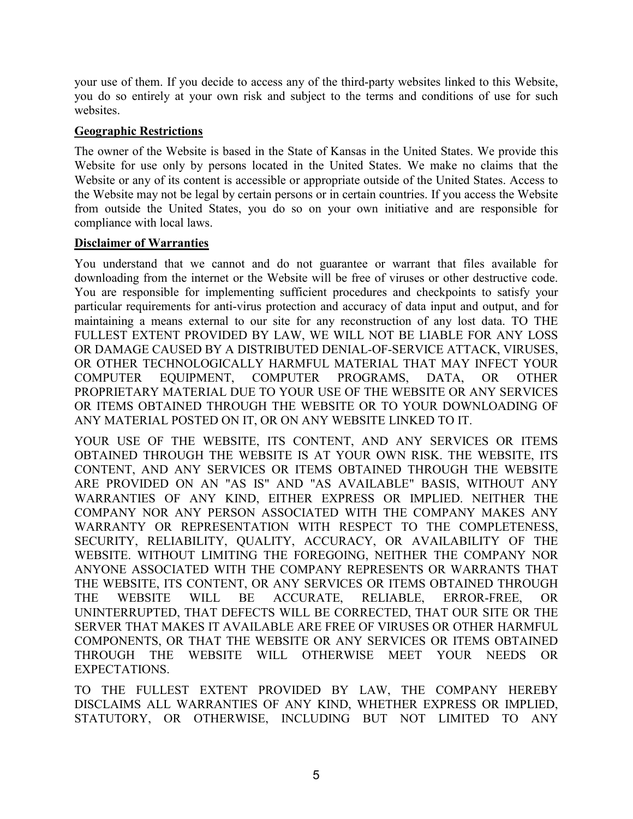your use of them. If you decide to access any of the third-party websites linked to this Website, you do so entirely at your own risk and subject to the terms and conditions of use for such websites.

#### **Geographic Restrictions**

The owner of the Website is based in the State of Kansas in the United States. We provide this Website for use only by persons located in the United States. We make no claims that the Website or any of its content is accessible or appropriate outside of the United States. Access to the Website may not be legal by certain persons or in certain countries. If you access the Website from outside the United States, you do so on your own initiative and are responsible for compliance with local laws.

#### **Disclaimer of Warranties**

You understand that we cannot and do not guarantee or warrant that files available for downloading from the internet or the Website will be free of viruses or other destructive code. You are responsible for implementing sufficient procedures and checkpoints to satisfy your particular requirements for anti-virus protection and accuracy of data input and output, and for maintaining a means external to our site for any reconstruction of any lost data. TO THE FULLEST EXTENT PROVIDED BY LAW, WE WILL NOT BE LIABLE FOR ANY LOSS OR DAMAGE CAUSED BY A DISTRIBUTED DENIAL-OF-SERVICE ATTACK, VIRUSES, OR OTHER TECHNOLOGICALLY HARMFUL MATERIAL THAT MAY INFECT YOUR COMPUTER EQUIPMENT, COMPUTER PROGRAMS, DATA, OR OTHER PROPRIETARY MATERIAL DUE TO YOUR USE OF THE WEBSITE OR ANY SERVICES OR ITEMS OBTAINED THROUGH THE WEBSITE OR TO YOUR DOWNLOADING OF ANY MATERIAL POSTED ON IT, OR ON ANY WEBSITE LINKED TO IT.

YOUR USE OF THE WEBSITE, ITS CONTENT, AND ANY SERVICES OR ITEMS OBTAINED THROUGH THE WEBSITE IS AT YOUR OWN RISK. THE WEBSITE, ITS CONTENT, AND ANY SERVICES OR ITEMS OBTAINED THROUGH THE WEBSITE ARE PROVIDED ON AN "AS IS" AND "AS AVAILABLE" BASIS, WITHOUT ANY WARRANTIES OF ANY KIND, EITHER EXPRESS OR IMPLIED. NEITHER THE COMPANY NOR ANY PERSON ASSOCIATED WITH THE COMPANY MAKES ANY WARRANTY OR REPRESENTATION WITH RESPECT TO THE COMPLETENESS, SECURITY, RELIABILITY, QUALITY, ACCURACY, OR AVAILABILITY OF THE WEBSITE. WITHOUT LIMITING THE FOREGOING, NEITHER THE COMPANY NOR ANYONE ASSOCIATED WITH THE COMPANY REPRESENTS OR WARRANTS THAT THE WEBSITE, ITS CONTENT, OR ANY SERVICES OR ITEMS OBTAINED THROUGH THE WEBSITE WILL BE ACCURATE, RELIABLE, ERROR-FREE, OR UNINTERRUPTED, THAT DEFECTS WILL BE CORRECTED, THAT OUR SITE OR THE SERVER THAT MAKES IT AVAILABLE ARE FREE OF VIRUSES OR OTHER HARMFUL COMPONENTS, OR THAT THE WEBSITE OR ANY SERVICES OR ITEMS OBTAINED THROUGH THE WEBSITE WILL OTHERWISE MEET YOUR NEEDS OR EXPECTATIONS.

TO THE FULLEST EXTENT PROVIDED BY LAW, THE COMPANY HEREBY DISCLAIMS ALL WARRANTIES OF ANY KIND, WHETHER EXPRESS OR IMPLIED, STATUTORY, OR OTHERWISE, INCLUDING BUT NOT LIMITED TO ANY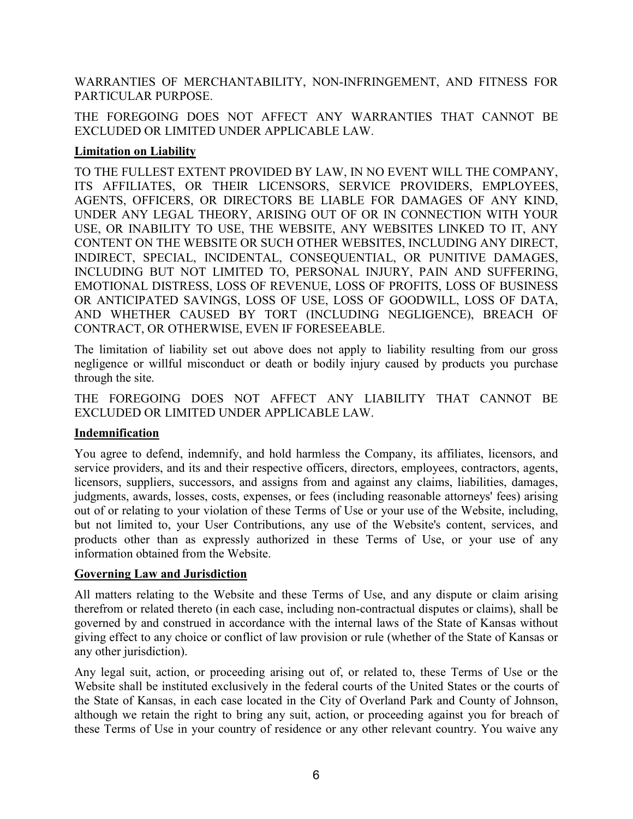WARRANTIES OF MERCHANTABILITY, NON-INFRINGEMENT, AND FITNESS FOR PARTICULAR PURPOSE.

THE FOREGOING DOES NOT AFFECT ANY WARRANTIES THAT CANNOT BE EXCLUDED OR LIMITED UNDER APPLICABLE LAW.

# **Limitation on Liability**

TO THE FULLEST EXTENT PROVIDED BY LAW, IN NO EVENT WILL THE COMPANY, ITS AFFILIATES, OR THEIR LICENSORS, SERVICE PROVIDERS, EMPLOYEES, AGENTS, OFFICERS, OR DIRECTORS BE LIABLE FOR DAMAGES OF ANY KIND, UNDER ANY LEGAL THEORY, ARISING OUT OF OR IN CONNECTION WITH YOUR USE, OR INABILITY TO USE, THE WEBSITE, ANY WEBSITES LINKED TO IT, ANY CONTENT ON THE WEBSITE OR SUCH OTHER WEBSITES, INCLUDING ANY DIRECT, INDIRECT, SPECIAL, INCIDENTAL, CONSEQUENTIAL, OR PUNITIVE DAMAGES, INCLUDING BUT NOT LIMITED TO, PERSONAL INJURY, PAIN AND SUFFERING, EMOTIONAL DISTRESS, LOSS OF REVENUE, LOSS OF PROFITS, LOSS OF BUSINESS OR ANTICIPATED SAVINGS, LOSS OF USE, LOSS OF GOODWILL, LOSS OF DATA, AND WHETHER CAUSED BY TORT (INCLUDING NEGLIGENCE), BREACH OF CONTRACT, OR OTHERWISE, EVEN IF FORESEEABLE.

The limitation of liability set out above does not apply to liability resulting from our gross negligence or willful misconduct or death or bodily injury caused by products you purchase through the site.

THE FOREGOING DOES NOT AFFECT ANY LIABILITY THAT CANNOT BE EXCLUDED OR LIMITED UNDER APPLICABLE LAW.

## **Indemnification**

You agree to defend, indemnify, and hold harmless the Company, its affiliates, licensors, and service providers, and its and their respective officers, directors, employees, contractors, agents, licensors, suppliers, successors, and assigns from and against any claims, liabilities, damages, judgments, awards, losses, costs, expenses, or fees (including reasonable attorneys' fees) arising out of or relating to your violation of these Terms of Use or your use of the Website, including, but not limited to, your User Contributions, any use of the Website's content, services, and products other than as expressly authorized in these Terms of Use, or your use of any information obtained from the Website.

## **Governing Law and Jurisdiction**

All matters relating to the Website and these Terms of Use, and any dispute or claim arising therefrom or related thereto (in each case, including non-contractual disputes or claims), shall be governed by and construed in accordance with the internal laws of the State of Kansas without giving effect to any choice or conflict of law provision or rule (whether of the State of Kansas or any other jurisdiction).

Any legal suit, action, or proceeding arising out of, or related to, these Terms of Use or the Website shall be instituted exclusively in the federal courts of the United States or the courts of the State of Kansas, in each case located in the City of Overland Park and County of Johnson, although we retain the right to bring any suit, action, or proceeding against you for breach of these Terms of Use in your country of residence or any other relevant country. You waive any